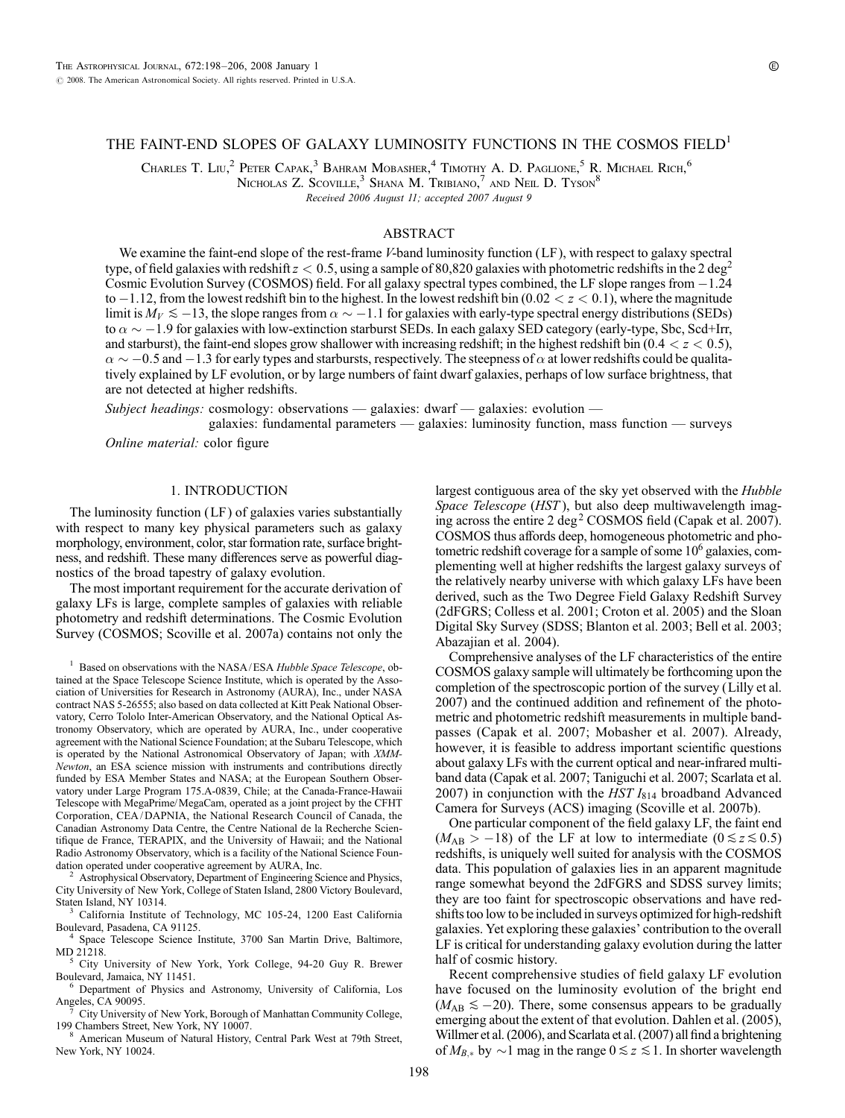# THE FAINT-END SLOPES OF GALAXY LUMINOSITY FUNCTIONS IN THE COSMOS FIELD<sup>1</sup>

Charles T. Liu,<sup>2</sup> Peter Capak,<sup>3</sup> Bahram Mobasher,<sup>4</sup> Timothy A. D. Paglione,<sup>5</sup> R. Michael Rich,<sup>6</sup>

NICHOLAS Z. SCOVILLE,<sup>3</sup> SHANA M. TRIBIANO,<sup>7</sup> AND NEIL D. TYSON<sup>8</sup>

Received 2006 August 11; accepted 2007 August 9

## ABSTRACT

We examine the faint-end slope of the rest-frame *V*-band luminosity function (LF), with respect to galaxy spectral type, of field galaxies with redshift  $z < 0.5$ , using a sample of 80,820 galaxies with photometric redshifts in the 2 deg<sup>2</sup> Cosmic Evolution Survey (COSMOS) field. For all galaxy spectral types combined, the LF slope ranges from  $-1.24$ to  $-1.12$ , from the lowest redshift bin to the highest. In the lowest redshift bin (0.02  $< z < 0.1$ ), where the magnitude limit is  $M_V \lesssim -13$ , the slope ranges from  $\alpha \sim -1.1$  for galaxies with early-type spectral energy distributions (SEDs) to  $\alpha \sim -1.9$  for galaxies with low-extinction starburst SEDs. In each galaxy SED category (early-type, Sbc, Scd+Irr, and starburst), the faint-end slopes grow shallower with increasing redshift; in the highest redshift bin (0.4  $<$  z  $<$  0.5),  $\alpha \sim -0.5$  and  $-1.3$  for early types and starbursts, respectively. The steepness of  $\alpha$  at lower redshifts could be qualitatively explained by LF evolution, or by large numbers of faint dwarf galaxies, perhaps of low surface brightness, that are not detected at higher redshifts.

Subject headings: cosmology: observations — galaxies: dwarf — galaxies: evolution —

galaxies: fundamental parameters — galaxies: luminosity function, mass function — surveys Online material: color figure

## 1. INTRODUCTION

The luminosity function (LF ) of galaxies varies substantially with respect to many key physical parameters such as galaxy morphology, environment, color, star formation rate, surface brightness, and redshift. These many differences serve as powerful diagnostics of the broad tapestry of galaxy evolution.

The most important requirement for the accurate derivation of galaxy LFs is large, complete samples of galaxies with reliable photometry and redshift determinations. The Cosmic Evolution Survey (COSMOS; Scoville et al. 2007a) contains not only the

 $1$  Based on observations with the NASA/ESA Hubble Space Telescope, obtained at the Space Telescope Science Institute, which is operated by the Association of Universities for Research in Astronomy (AURA), Inc., under NASA contract NAS 5-26555; also based on data collected at Kitt Peak National Observatory, Cerro Tololo Inter-American Observatory, and the National Optical Astronomy Observatory, which are operated by AURA, Inc., under cooperative agreement with the National Science Foundation; at the Subaru Telescope, which is operated by the National Astronomical Observatory of Japan; with XMM-Newton, an ESA science mission with instruments and contributions directly funded by ESA Member States and NASA; at the European Southern Observatory under Large Program 175.A-0839, Chile; at the Canada-France-Hawaii Telescope with MegaPrime/MegaCam, operated as a joint project by the CFHT Corporation, CEA / DAPNIA, the National Research Council of Canada, the Canadian Astronomy Data Centre, the Centre National de la Recherche Scientifique de France, TERAPIX, and the University of Hawaii; and the National Radio Astronomy Observatory, which is a facility of the National Science Foundation operated under cooperative agreement by AURA, Inc.<br><sup>2</sup> Astrophysical Observatory, Department of Engineering Science and Physics,

City University of New York, College of Staten Island, 2800 Victory Boulevard,

 $3$  California Institute of Technology, MC 105-24, 1200 East California Boulevard, Pasadena, CA 91125. <sup>4</sup> Space Telescope Science Institute, 3700 San Martin Drive, Baltimore,

MD 21218.<br><sup>5</sup> City University of New York, York College, 94-20 Guy R. Brewer<br>Boulevard, Jamaica, NY 11451.

<sup>6</sup> Department of Physics and Astronomy, University of California, Los Angeles, CA 90095.

<sup>7</sup> City University of New York, Borough of Manhattan Community College, 199 Chambers Street, New York, NY 10007.<br><sup>8</sup> American Museum of Natural History, Central Park West at 79th Street,

New York, NY 10024.

largest contiguous area of the sky yet observed with the *Hubble* Space Telescope (HST), but also deep multiwavelength imaging across the entire 2 deg<sup>2</sup> COSMOS field (Capak et al. 2007). COSMOS thus affords deep, homogeneous photometric and photometric redshift coverage for a sample of some  $10<sup>6</sup>$  galaxies, complementing well at higher redshifts the largest galaxy surveys of the relatively nearby universe with which galaxy LFs have been derived, such as the Two Degree Field Galaxy Redshift Survey (2dFGRS; Colless et al. 2001; Croton et al. 2005) and the Sloan Digital Sky Survey (SDSS; Blanton et al. 2003; Bell et al. 2003; Abazajian et al. 2004).

Comprehensive analyses of the LF characteristics of the entire COSMOS galaxy sample will ultimately be forthcoming upon the completion of the spectroscopic portion of the survey (Lilly et al. 2007) and the continued addition and refinement of the photometric and photometric redshift measurements in multiple bandpasses (Capak et al. 2007; Mobasher et al. 2007). Already, however, it is feasible to address important scientific questions about galaxy LFs with the current optical and near-infrared multiband data (Capak et al. 2007; Taniguchi et al. 2007; Scarlata et al. 2007) in conjunction with the HST  $I_{814}$  broadband Advanced Camera for Surveys (ACS) imaging (Scoville et al. 2007b).

One particular component of the field galaxy LF, the faint end  $(M_{AB} > -18)$  of the LF at low to intermediate  $(0 \le z \le 0.5)$ redshifts, is uniquely well suited for analysis with the COSMOS data. This population of galaxies lies in an apparent magnitude range somewhat beyond the 2dFGRS and SDSS survey limits; they are too faint for spectroscopic observations and have redshifts too low to be included in surveys optimized for high-redshift galaxies. Yet exploring these galaxies' contribution to the overall LF is critical for understanding galaxy evolution during the latter half of cosmic history.

Recent comprehensive studies of field galaxy LF evolution have focused on the luminosity evolution of the bright end  $(M_{AB} \le -20)$ . There, some consensus appears to be gradually emerging about the extent of that evolution. Dahlen et al. (2005), Willmer et al. (2006), and Scarlata et al. (2007) all find a brightening of  $M_{B,*}$  by  $\sim$ 1 mag in the range  $0 \le z \le 1$ . In shorter wavelength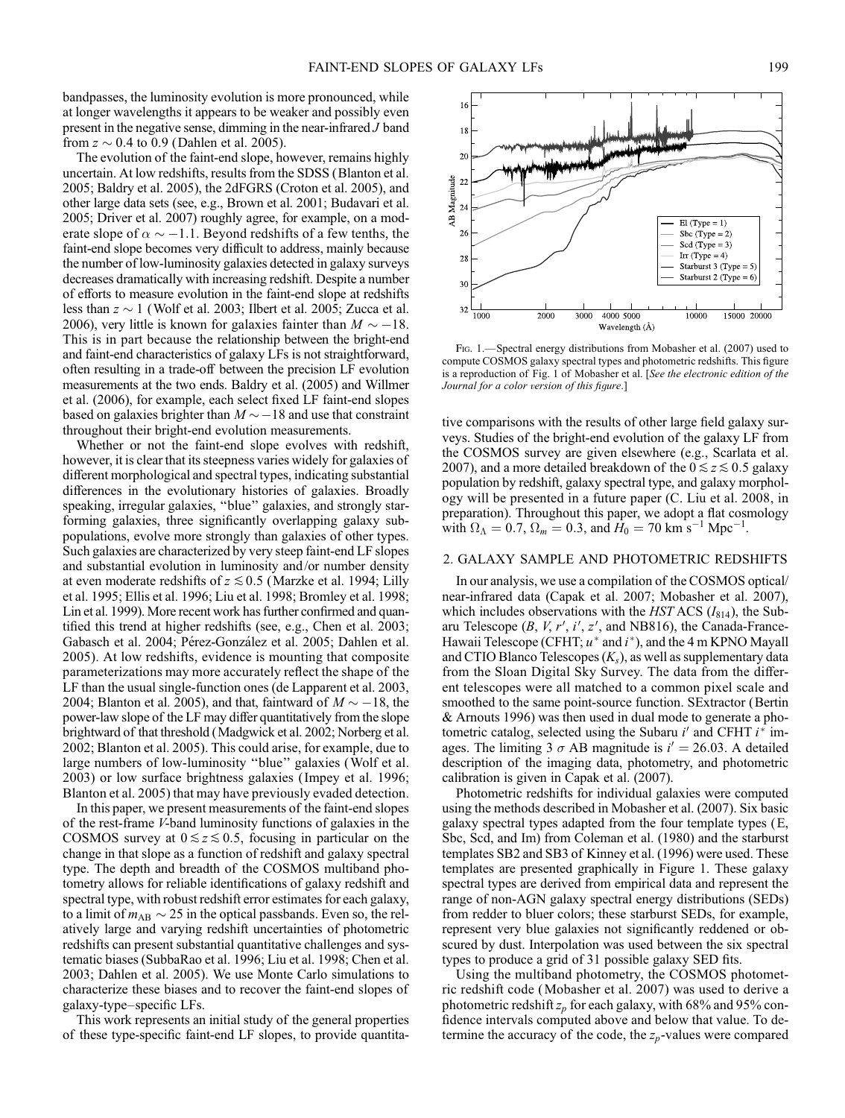bandpasses, the luminosity evolution is more pronounced, while at longer wavelengths it appears to be weaker and possibly even present in the negative sense, dimming in the near-infrared J band from  $z \sim 0.4$  to 0.9 (Dahlen et al. 2005).

The evolution of the faint-end slope, however, remains highly uncertain. At low redshifts, results from the SDSS (Blanton et al. 2005; Baldry et al. 2005), the 2dFGRS (Croton et al. 2005), and other large data sets (see, e.g., Brown et al. 2001; Budavari et al. 2005; Driver et al. 2007) roughly agree, for example, on a moderate slope of  $\alpha \sim -1.1$ . Beyond redshifts of a few tenths, the faint-end slope becomes very difficult to address, mainly because the number of low-luminosity galaxies detected in galaxy surveys decreases dramatically with increasing redshift. Despite a number of efforts to measure evolution in the faint-end slope at redshifts less than  $z \sim 1$  (Wolf et al. 2003; Ilbert et al. 2005; Zucca et al. 2006), very little is known for galaxies fainter than  $M \sim -18$ . This is in part because the relationship between the bright-end and faint-end characteristics of galaxy LFs is not straightforward, often resulting in a trade-off between the precision LF evolution measurements at the two ends. Baldry et al. (2005) and Willmer et al. (2006), for example, each select fixed LF faint-end slopes based on galaxies brighter than  $M\!\sim\!-18$  and use that constraint throughout their bright-end evolution measurements.

Whether or not the faint-end slope evolves with redshift, however, it is clear that its steepness varies widely for galaxies of different morphological and spectral types, indicating substantial differences in the evolutionary histories of galaxies. Broadly speaking, irregular galaxies, ''blue'' galaxies, and strongly starforming galaxies, three significantly overlapping galaxy subpopulations, evolve more strongly than galaxies of other types. Such galaxies are characterized by very steep faint-end LF slopes and substantial evolution in luminosity and/or number density at even moderate redshifts of  $z \le 0.5$  (Marzke et al. 1994; Lilly et al. 1995; Ellis et al. 1996; Liu et al. 1998; Bromley et al. 1998; Lin et al. 1999). More recent work has further confirmed and quantified this trend at higher redshifts (see, e.g., Chen et al. 2003; Gabasch et al. 2004; Pérez-González et al. 2005; Dahlen et al. 2005). At low redshifts, evidence is mounting that composite parameterizations may more accurately reflect the shape of the LF than the usual single-function ones (de Lapparent et al. 2003, 2004; Blanton et al. 2005), and that, faintward of  $M \sim -18$ , the power-law slope of the LF may differ quantitatively from the slope brightward of that threshold (Madgwick et al. 2002; Norberg et al. 2002; Blanton et al. 2005). This could arise, for example, due to large numbers of low-luminosity ''blue'' galaxies (Wolf et al. 2003) or low surface brightness galaxies ( Impey et al. 1996; Blanton et al. 2005) that may have previously evaded detection.

In this paper, we present measurements of the faint-end slopes of the rest-frame V-band luminosity functions of galaxies in the COSMOS survey at  $0 \le z \le 0.5$ , focusing in particular on the change in that slope as a function of redshift and galaxy spectral type. The depth and breadth of the COSMOS multiband photometry allows for reliable identifications of galaxy redshift and spectral type, with robust redshift error estimates for each galaxy, to a limit of  $m_{AB} \sim 25$  in the optical passbands. Even so, the relatively large and varying redshift uncertainties of photometric redshifts can present substantial quantitative challenges and systematic biases (SubbaRao et al. 1996; Liu et al. 1998; Chen et al. 2003; Dahlen et al. 2005). We use Monte Carlo simulations to characterize these biases and to recover the faint-end slopes of galaxy-type–specific LFs.

This work represents an initial study of the general properties of these type-specific faint-end LF slopes, to provide quantita-

Fig. 1.—Spectral energy distributions from Mobasher et al. (2007) used to compute COSMOS galaxy spectral types and photometric redshifts. This figure is a reproduction of Fig. 1 of Mobasher et al. [See the electronic edition of the Journal for a color version of this figure.]

tive comparisons with the results of other large field galaxy surveys. Studies of the bright-end evolution of the galaxy LF from the COSMOS survey are given elsewhere (e.g., Scarlata et al. 2007), and a more detailed breakdown of the  $0 \le z \le 0.5$  galaxy population by redshift, galaxy spectral type, and galaxy morphology will be presented in a future paper (C. Liu et al. 2008, in preparation). Throughout this paper, we adopt a flat cosmology with  $\Omega_{\Lambda} = 0.7$ ,  $\Omega_m = 0.3$ , and  $H_0 = 70$  km s<sup>-1</sup> Mpc<sup>-1</sup>.

# 2. GALAXY SAMPLE AND PHOTOMETRIC REDSHIFTS

In our analysis, we use a compilation of the COSMOS optical/ near-infrared data (Capak et al. 2007; Mobasher et al. 2007), which includes observations with the HST ACS  $(I<sub>814</sub>)$ , the Subaru Telescope  $(B, V, r', i', z',$  and NB816), the Canada-France-Hawaii Telescope (CFHT;  $u^*$  and  $i^*$ ), and the 4 m KPNO Mayall and CTIO Blanco Telescopes  $(K<sub>s</sub>)$ , as well as supplementary data from the Sloan Digital Sky Survey. The data from the different telescopes were all matched to a common pixel scale and smoothed to the same point-source function. SExtractor (Bertin & Arnouts 1996) was then used in dual mode to generate a photometric catalog, selected using the Subaru  $i'$  and CFHT  $i^*$  images. The limiting 3  $\sigma$  AB magnitude is  $i' = 26.03$ . A detailed description of the imaging data, photometry, and photometric calibration is given in Capak et al. (2007).

Photometric redshifts for individual galaxies were computed using the methods described in Mobasher et al. (2007). Six basic galaxy spectral types adapted from the four template types (E, Sbc, Scd, and Im) from Coleman et al. (1980) and the starburst templates SB2 and SB3 of Kinney et al. (1996) were used. These templates are presented graphically in Figure 1. These galaxy spectral types are derived from empirical data and represent the range of non-AGN galaxy spectral energy distributions (SEDs) from redder to bluer colors; these starburst SEDs, for example, represent very blue galaxies not significantly reddened or obscured by dust. Interpolation was used between the six spectral types to produce a grid of 31 possible galaxy SED fits.

Using the multiband photometry, the COSMOS photometric redshift code (Mobasher et al. 2007) was used to derive a photometric redshift  $z_p$  for each galaxy, with 68% and 95% confidence intervals computed above and below that value. To determine the accuracy of the code, the  $z_p$ -values were compared

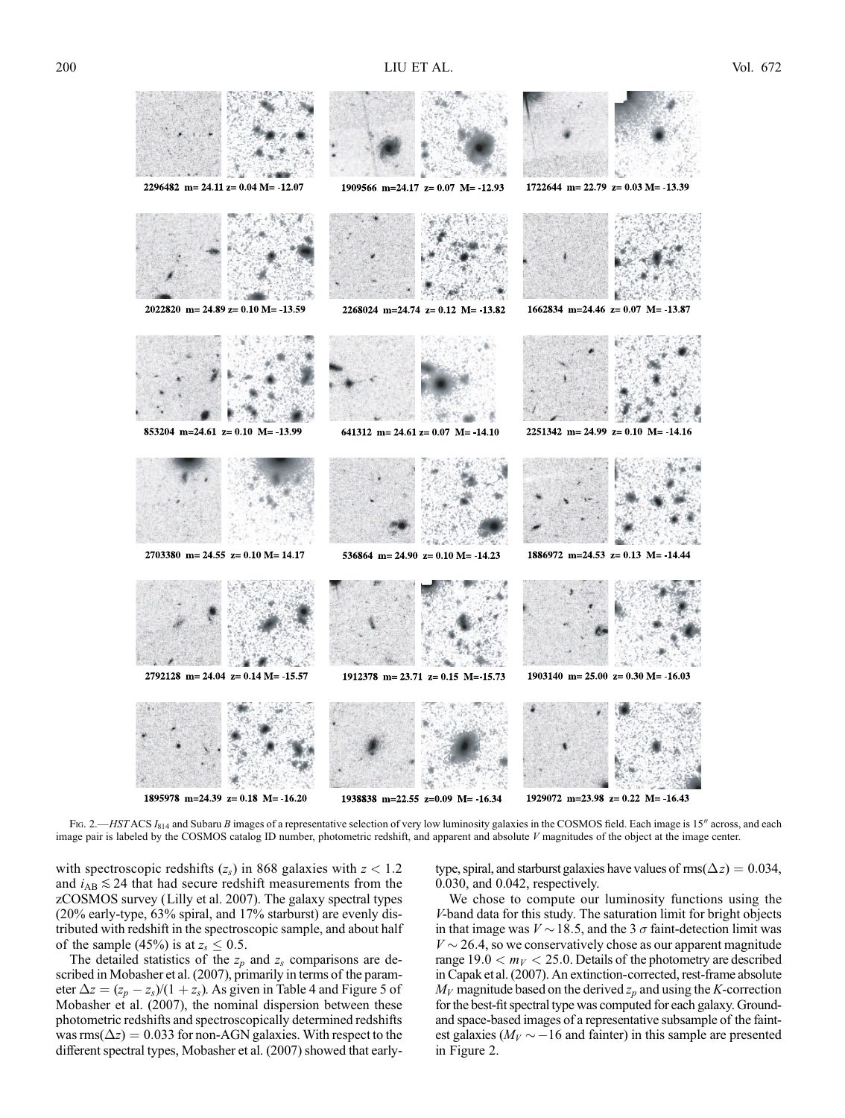

1938838 m=22.55 z=0.09 M= -16.34

1929072 m=23.98 z= 0.22 M= 16.43

Fig. 2.—HSTACS  $I_{814}$  and Subaru B images of a representative selection of very low luminosity galaxies in the COSMOS field. Each image is 15" across, and each image pair is labeled by the COSMOS catalog ID number, photometric redshift, and apparent and absolute V magnitudes of the object at the image center.

with spectroscopic redshifts  $(z_s)$  in 868 galaxies with  $z < 1.2$ and  $i_{AB} \leq 24$  that had secure redshift measurements from the zCOSMOS survey (Lilly et al. 2007). The galaxy spectral types (20% early-type, 63% spiral, and 17% starburst) are evenly distributed with redshift in the spectroscopic sample, and about half of the sample (45%) is at  $z_s \leq 0.5$ .

The detailed statistics of the  $z_p$  and  $z_s$  comparisons are described in Mobasher et al. (2007), primarily in terms of the parameter  $\Delta z = (z_p - z_s)/(1 + z_s)$ . As given in Table 4 and Figure 5 of Mobasher et al. (2007), the nominal dispersion between these photometric redshifts and spectroscopically determined redshifts was  $\text{rms}(\Delta z) = 0.033$  for non-AGN galaxies. With respect to the different spectral types, Mobasher et al. (2007) showed that early-

type, spiral, and starburst galaxies have values of  $\text{rms}(\Delta z) = 0.034$ , 0.030, and 0.042, respectively.

We chose to compute our luminosity functions using the V-band data for this study. The saturation limit for bright objects in that image was  $V \sim 18.5$ , and the 3  $\sigma$  faint-detection limit was  $V \sim 26.4$ , so we conservatively chose as our apparent magnitude range  $19.0 < m_V < 25.0$ . Details of the photometry are described in Capak et al. (2007). An extinction-corrected, rest-frame absolute  $M_V$  magnitude based on the derived  $z_p$  and using the K-correction for the best-fit spectral type was computed for each galaxy. Groundand space-based images of a representative subsample of the faintest galaxies ( $M_V \sim -16$  and fainter) in this sample are presented in Figure 2.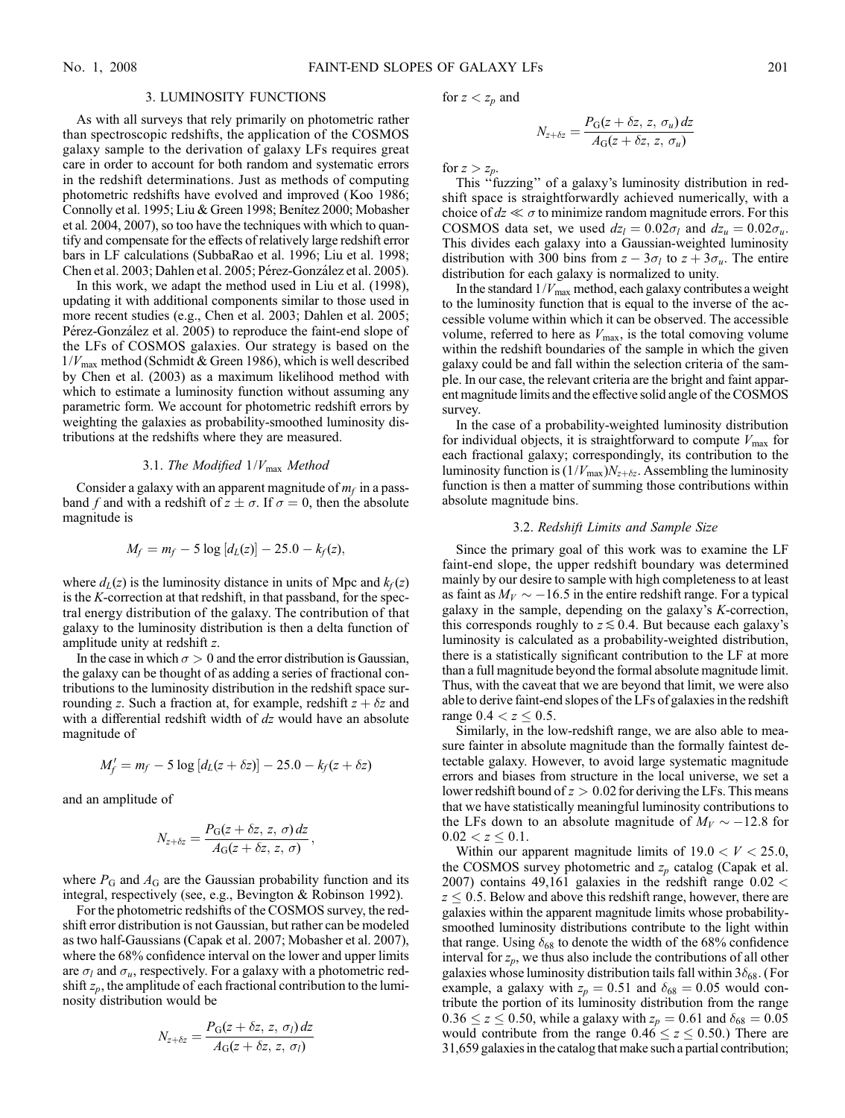## 3. LUMINOSITY FUNCTIONS

As with all surveys that rely primarily on photometric rather than spectroscopic redshifts, the application of the COSMOS galaxy sample to the derivation of galaxy LFs requires great care in order to account for both random and systematic errors in the redshift determinations. Just as methods of computing photometric redshifts have evolved and improved (Koo 1986; Connolly et al. 1995; Liu & Green 1998; Benítez 2000; Mobasher et al. 2004, 2007), so too have the techniques with which to quantify and compensate for the effects of relatively large redshift error bars in LF calculations (SubbaRao et al. 1996; Liu et al. 1998; Chen et al. 2003; Dahlen et al. 2005; Pérez-González et al. 2005).

In this work, we adapt the method used in Liu et al. (1998), updating it with additional components similar to those used in more recent studies (e.g., Chen et al. 2003; Dahlen et al. 2005; Pérez-González et al. 2005) to reproduce the faint-end slope of the LFs of COSMOS galaxies. Our strategy is based on the  $1/V_{\text{max}}$  method (Schmidt & Green 1986), which is well described by Chen et al. (2003) as a maximum likelihood method with which to estimate a luminosity function without assuming any parametric form. We account for photometric redshift errors by weighting the galaxies as probability-smoothed luminosity distributions at the redshifts where they are measured.

# 3.1. The Modified  $1/V_{\text{max}}$  Method

Consider a galaxy with an apparent magnitude of  $m_f$  in a passband f and with a redshift of  $z \pm \sigma$ . If  $\sigma = 0$ , then the absolute magnitude is

$$
M_f = m_f - 5 \log [d_L(z)] - 25.0 - k_f(z),
$$

where  $d_L(z)$  is the luminosity distance in units of Mpc and  $k_f(z)$ is the K-correction at that redshift, in that passband, for the spectral energy distribution of the galaxy. The contribution of that galaxy to the luminosity distribution is then a delta function of amplitude unity at redshift z.

In the case in which  $\sigma > 0$  and the error distribution is Gaussian, the galaxy can be thought of as adding a series of fractional contributions to the luminosity distribution in the redshift space surrounding z. Such a fraction at, for example, redshift  $z + \delta z$  and with a differential redshift width of dz would have an absolute magnitude of

$$
M'_f = m_f - 5 \log [d_L(z + \delta z)] - 25.0 - k_f(z + \delta z)
$$

and an amplitude of

$$
N_{z+\delta z} = \frac{P_G(z+\delta z, z, \sigma) dz}{A_G(z+\delta z, z, \sigma)},
$$

where  $P_G$  and  $A_G$  are the Gaussian probability function and its integral, respectively (see, e.g., Bevington & Robinson 1992).

For the photometric redshifts of the COSMOS survey, the redshift error distribution is not Gaussian, but rather can be modeled as two half-Gaussians (Capak et al. 2007; Mobasher et al. 2007), where the 68% confidence interval on the lower and upper limits are  $\sigma_l$  and  $\sigma_u$ , respectively. For a galaxy with a photometric redshift  $z_p$ , the amplitude of each fractional contribution to the luminosity distribution would be

$$
N_{z+\delta z} = \frac{P_{\rm G}(z+\delta z, z, \sigma_l) dz}{A_{\rm G}(z+\delta z, z, \sigma_l)}
$$

for  $z < z_p$  and

$$
N_{z+\delta z} = \frac{P_{\rm G}(z+\delta z, z, \sigma_u) dz}{A_{\rm G}(z+\delta z, z, \sigma_u)}
$$

for  $z > z_p$ .

This ''fuzzing'' of a galaxy's luminosity distribution in redshift space is straightforwardly achieved numerically, with a choice of  $dz \ll \sigma$  to minimize random magnitude errors. For this COSMOS data set, we used  $dz_l = 0.02\sigma_l$  and  $dz_u = 0.02\sigma_u$ . This divides each galaxy into a Gaussian-weighted luminosity distribution with 300 bins from  $z - 3\sigma_l$  to  $z + 3\sigma_u$ . The entire distribution for each galaxy is normalized to unity.

In the standard  $1/V_{\text{max}}$  method, each galaxy contributes a weight to the luminosity function that is equal to the inverse of the accessible volume within which it can be observed. The accessible volume, referred to here as  $V_{\text{max}}$ , is the total comoving volume within the redshift boundaries of the sample in which the given galaxy could be and fall within the selection criteria of the sample. In our case, the relevant criteria are the bright and faint apparent magnitude limits and the effective solid angle of the COSMOS survey.

In the case of a probability-weighted luminosity distribution for individual objects, it is straightforward to compute  $V_{\text{max}}$  for each fractional galaxy; correspondingly, its contribution to the luminosity function is  $(1/V_{\text{max}})N_{z+\delta z}$ . Assembling the luminosity function is then a matter of summing those contributions within absolute magnitude bins.

## 3.2. Redshift Limits and Sample Size

Since the primary goal of this work was to examine the LF faint-end slope, the upper redshift boundary was determined mainly by our desire to sample with high completeness to at least as faint as  $M_V \sim -16.5$  in the entire redshift range. For a typical galaxy in the sample, depending on the galaxy's K-correction, this corresponds roughly to  $z \lesssim 0.4$ . But because each galaxy's luminosity is calculated as a probability-weighted distribution, there is a statistically significant contribution to the LF at more than a full magnitude beyond the formal absolute magnitude limit. Thus, with the caveat that we are beyond that limit, we were also able to derive faint-end slopes of the LFs of galaxies in the redshift range  $0.4 < z \le 0.5$ .

Similarly, in the low-redshift range, we are also able to measure fainter in absolute magnitude than the formally faintest detectable galaxy. However, to avoid large systematic magnitude errors and biases from structure in the local universe, we set a lower redshift bound of  $z > 0.02$  for deriving the LFs. This means that we have statistically meaningful luminosity contributions to the LFs down to an absolute magnitude of  $M_V \sim -12.8$  for  $0.02 < z \leq 0.1$ .

Within our apparent magnitude limits of  $19.0 < V < 25.0$ , the COSMOS survey photometric and  $z_p$  catalog (Capak et al. 2007) contains 49,161 galaxies in the redshift range  $0.02 <$  $z \leq 0.5$ . Below and above this redshift range, however, there are galaxies within the apparent magnitude limits whose probabilitysmoothed luminosity distributions contribute to the light within that range. Using  $\delta_{68}$  to denote the width of the 68% confidence interval for  $z_p$ , we thus also include the contributions of all other galaxies whose luminosity distribution tails fall within  $3\delta_{68}$ . (For example, a galaxy with  $z_p = 0.51$  and  $\delta_{68} = 0.05$  would contribute the portion of its luminosity distribution from the range  $0.36 \le z \le 0.50$ , while a galaxy with  $z_p = 0.61$  and  $\delta_{68} = 0.05$ would contribute from the range  $0.46 \le z \le 0.50$ .) There are 31,659 galaxies in the catalog that make such a partial contribution;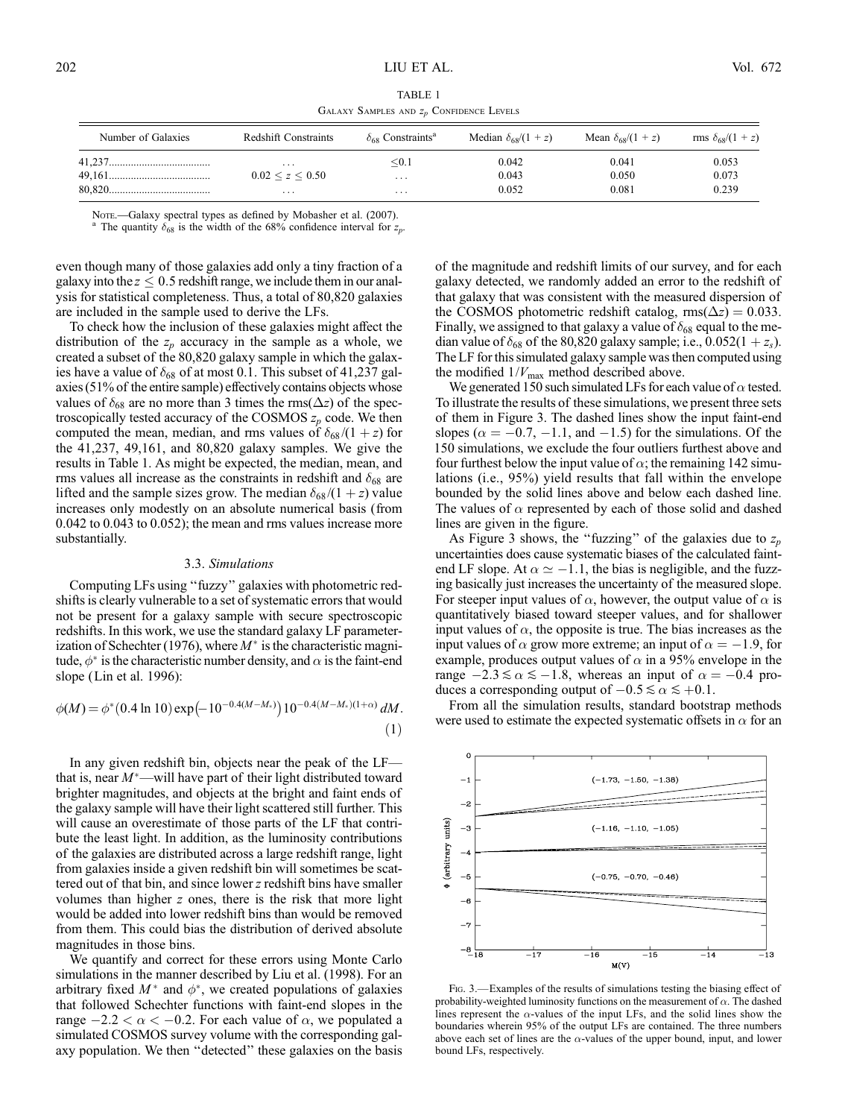TABLE 1 GALAXY SAMPLES AND  $z_p$  CONFIDENCE LEVELS

| Number of Galaxies | <b>Redshift Constraints</b> | $\delta_{68}$ Constraints <sup>a</sup> | Median $\delta_{68}/(1+z)$ | Mean $\delta_{68}/(1+z)$ | rms $\delta_{68}/(1 + z)$ |
|--------------------|-----------------------------|----------------------------------------|----------------------------|--------------------------|---------------------------|
|                    | .                           | $0.1$                                  | 0.042                      | 0.041                    | 0.053                     |
|                    | 0.02 < z < 0.50             | $\cdot$ $\cdot$ $\cdot$                | 0.043                      | 0.050                    | 0.073                     |
|                    | $\cdots$                    | $\cdots$                               | 0.052                      | 0.081                    | 0.239                     |

Note.—Galaxy spectral types as defined by Mobasher et al. (2007). <sup>a</sup> The quantity  $\delta_{68}$  is the width of the 68% confidence interval for  $z_p$ .

even though many of those galaxies add only a tiny fraction of a galaxy into the  $z \leq 0.5$  redshift range, we include them in our analysis for statistical completeness. Thus, a total of 80,820 galaxies are included in the sample used to derive the LFs.

To check how the inclusion of these galaxies might affect the distribution of the  $z_p$  accuracy in the sample as a whole, we created a subset of the 80,820 galaxy sample in which the galaxies have a value of  $\delta_{68}$  of at most 0.1. This subset of 41,237 galaxies (51% of the entire sample) effectively contains objects whose values of  $\delta_{68}$  are no more than 3 times the rms( $\Delta z$ ) of the spectroscopically tested accuracy of the COSMOS  $z_p$  code. We then computed the mean, median, and rms values of  $\delta_{68}/(1+z)$  for the 41,237, 49,161, and 80,820 galaxy samples. We give the results in Table 1. As might be expected, the median, mean, and rms values all increase as the constraints in redshift and  $\delta_{68}$  are lifted and the sample sizes grow. The median  $\delta_{68}/(1+z)$  value increases only modestly on an absolute numerical basis (from 0.042 to 0.043 to 0.052); the mean and rms values increase more substantially.

#### 3.3. Simulations

Computing LFs using ''fuzzy'' galaxies with photometric redshifts is clearly vulnerable to a set of systematic errors that would not be present for a galaxy sample with secure spectroscopic redshifts. In this work, we use the standard galaxy LF parameterization of Schechter (1976), where  $M^*$  is the characteristic magnitude,  $\phi^*$  is the characteristic number density, and  $\alpha$  is the faint-end slope (Lin et al. 1996):

$$
\phi(M) = \phi^*(0.4 \ln 10) \exp(-10^{-0.4(M-M_*)}) 10^{-0.4(M-M_*)(1+\alpha)} dM.
$$
\n(1)

In any given redshift bin, objects near the peak of the LF that is, near  $M^*$ —will have part of their light distributed toward brighter magnitudes, and objects at the bright and faint ends of the galaxy sample will have their light scattered still further. This will cause an overestimate of those parts of the LF that contribute the least light. In addition, as the luminosity contributions of the galaxies are distributed across a large redshift range, light from galaxies inside a given redshift bin will sometimes be scattered out of that bin, and since lower z redshift bins have smaller volumes than higher z ones, there is the risk that more light would be added into lower redshift bins than would be removed from them. This could bias the distribution of derived absolute magnitudes in those bins.

We quantify and correct for these errors using Monte Carlo simulations in the manner described by Liu et al. (1998). For an arbitrary fixed  $M^*$  and  $\phi^*$ , we created populations of galaxies that followed Schechter functions with faint-end slopes in the range  $-2.2 < \alpha < -0.2$ . For each value of  $\alpha$ , we populated a simulated COSMOS survey volume with the corresponding galaxy population. We then ''detected'' these galaxies on the basis

of the magnitude and redshift limits of our survey, and for each galaxy detected, we randomly added an error to the redshift of that galaxy that was consistent with the measured dispersion of the COSMOS photometric redshift catalog,  $\text{rms}(\Delta z) = 0.033$ . Finally, we assigned to that galaxy a value of  $\delta_{68}$  equal to the median value of  $\delta_{68}$  of the 80,820 galaxy sample; i.e., 0.052(1 + z<sub>s</sub>). The LF for this simulated galaxy sample was then computed using the modified  $1/V_{\text{max}}$  method described above.

We generated 150 such simulated LFs for each value of  $\alpha$  tested. To illustrate the results of these simulations, we present three sets of them in Figure 3. The dashed lines show the input faint-end slopes ( $\alpha = -0.7, -1.1$ , and  $-1.5$ ) for the simulations. Of the 150 simulations, we exclude the four outliers furthest above and four furthest below the input value of  $\alpha$ ; the remaining 142 simulations (i.e., 95%) yield results that fall within the envelope bounded by the solid lines above and below each dashed line. The values of  $\alpha$  represented by each of those solid and dashed lines are given in the figure.

As Figure 3 shows, the "fuzzing" of the galaxies due to  $z_p$ uncertainties does cause systematic biases of the calculated faintend LF slope. At  $\alpha \simeq -1.1$ , the bias is negligible, and the fuzzing basically just increases the uncertainty of the measured slope. For steeper input values of  $\alpha$ , however, the output value of  $\alpha$  is quantitatively biased toward steeper values, and for shallower input values of  $\alpha$ , the opposite is true. The bias increases as the input values of  $\alpha$  grow more extreme; an input of  $\alpha = -1.9$ , for example, produces output values of  $\alpha$  in a 95% envelope in the range  $-2.3 \le \alpha \le -1.8$ , whereas an input of  $\alpha = -0.4$  produces a corresponding output of  $-0.5 \le \alpha \le +0.1$ .

From all the simulation results, standard bootstrap methods were used to estimate the expected systematic offsets in  $\alpha$  for an



Fig. 3.—Examples of the results of simulations testing the biasing effect of probability-weighted luminosity functions on the measurement of  $\alpha$ . The dashed lines represent the  $\alpha$ -values of the input LFs, and the solid lines show the boundaries wherein 95% of the output LFs are contained. The three numbers above each set of lines are the  $\alpha$ -values of the upper bound, input, and lower bound LFs, respectively.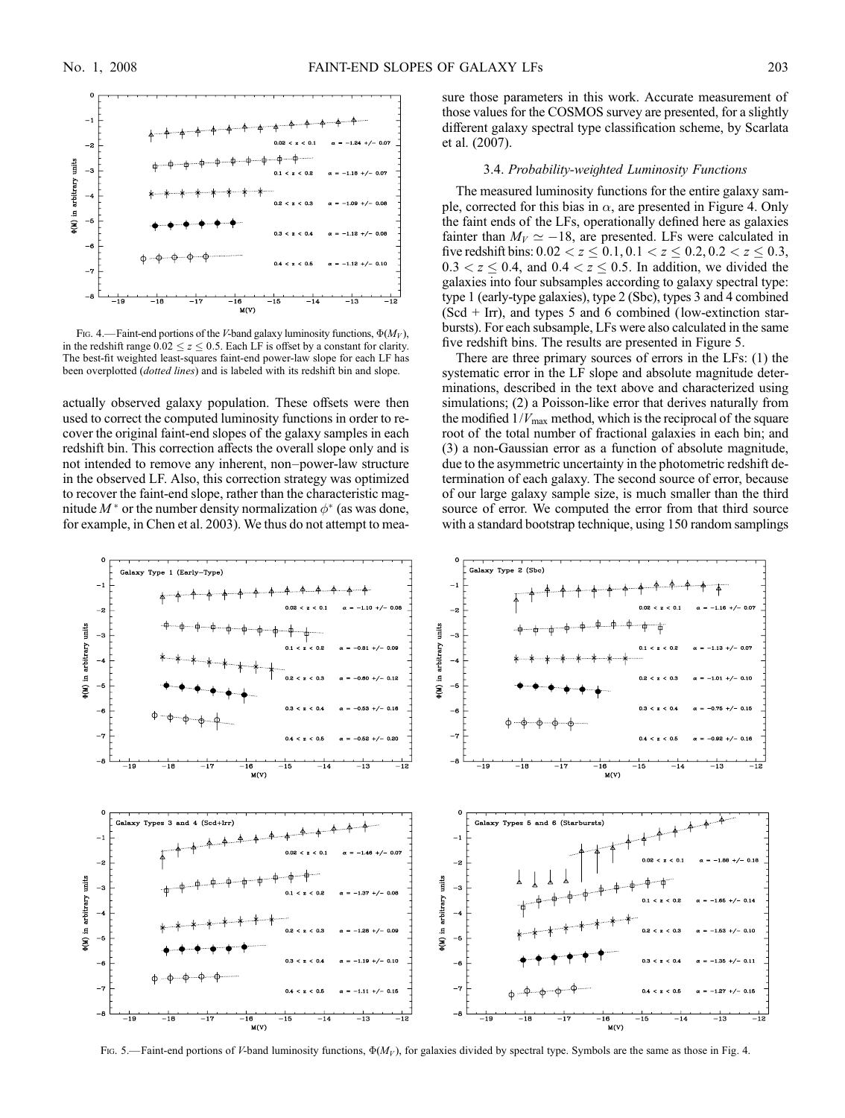

Fig. 4.—Faint-end portions of the V-band galaxy luminosity functions,  $\Phi(M_V)$ , in the redshift range  $0.02 \le z \le 0.5$ . Each LF is offset by a constant for clarity. The best-fit weighted least-squares faint-end power-law slope for each LF has been overplotted (dotted lines) and is labeled with its redshift bin and slope.

actually observed galaxy population. These offsets were then used to correct the computed luminosity functions in order to recover the original faint-end slopes of the galaxy samples in each redshift bin. This correction affects the overall slope only and is not intended to remove any inherent, non–power-law structure in the observed LF. Also, this correction strategy was optimized to recover the faint-end slope, rather than the characteristic magnitude  $M^*$  or the number density normalization  $\phi^*$  (as was done, for example, in Chen et al. 2003). We thus do not attempt to measure those parameters in this work. Accurate measurement of those values for the COSMOS survey are presented, for a slightly different galaxy spectral type classification scheme, by Scarlata et al. (2007).

### 3.4. Probability-weighted Luminosity Functions

The measured luminosity functions for the entire galaxy sample, corrected for this bias in  $\alpha$ , are presented in Figure 4. Only the faint ends of the LFs, operationally defined here as galaxies fainter than  $M_V \simeq -18$ , are presented. LFs were calculated in five redshift bins:  $0.02 < z \le 0.1, 0.1 < z \le 0.2, 0.2 < z \le 0.3$ ,  $0.3 < z \leq 0.4$ , and  $0.4 < z \leq 0.5$ . In addition, we divided the galaxies into four subsamples according to galaxy spectral type: type 1 (early-type galaxies), type 2 (Sbc), types 3 and 4 combined  $(Scd + Irr)$ , and types 5 and 6 combined (low-extinction starbursts). For each subsample, LFs were also calculated in the same five redshift bins. The results are presented in Figure 5.

There are three primary sources of errors in the LFs: (1) the systematic error in the LF slope and absolute magnitude determinations, described in the text above and characterized using simulations; (2) a Poisson-like error that derives naturally from the modified  $1/V_{\text{max}}$  method, which is the reciprocal of the square root of the total number of fractional galaxies in each bin; and (3) a non-Gaussian error as a function of absolute magnitude, due to the asymmetric uncertainty in the photometric redshift determination of each galaxy. The second source of error, because of our large galaxy sample size, is much smaller than the third source of error. We computed the error from that third source with a standard bootstrap technique, using 150 random samplings



Fig. 5.—Faint-end portions of V-band luminosity functions,  $\Phi(M_V)$ , for galaxies divided by spectral type. Symbols are the same as those in Fig. 4.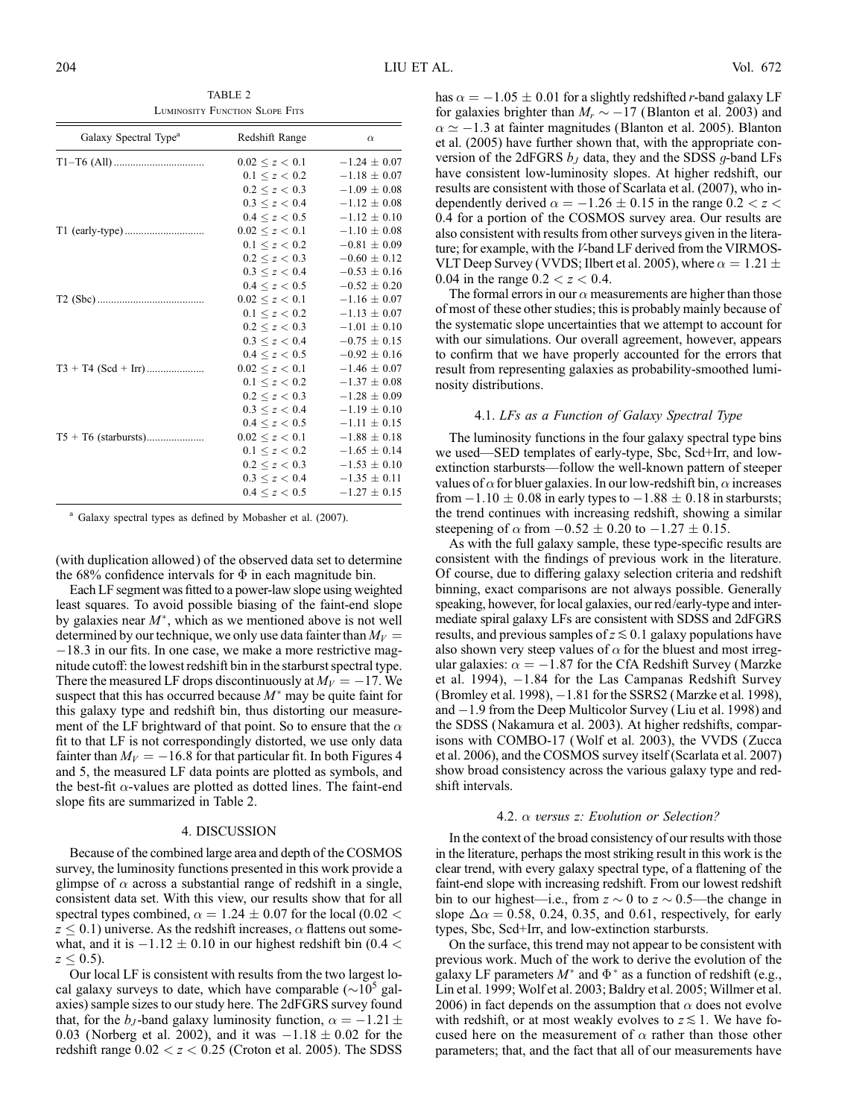TABLE 2 Luminosity Function Slope Fits

| Galaxy Spectral Type <sup>a</sup> | Redshift Range         | $\alpha$         |
|-----------------------------------|------------------------|------------------|
|                                   | $0.02 \leq z \leq 0.1$ | $-1.24 \pm 0.07$ |
|                                   | $0.1 \leq z \leq 0.2$  | $-1.18 \pm 0.07$ |
|                                   | 0.2 < z < 0.3          | $-1.09 \pm 0.08$ |
|                                   | 0.3 < z < 0.4          | $-1.12 \pm 0.08$ |
|                                   | $0.4 \le z \le 0.5$    | $-1.12 \pm 0.10$ |
|                                   | $0.02 \leq z \leq 0.1$ | $-1.10 \pm 0.08$ |
|                                   | $0.1 \leq z \leq 0.2$  | $-0.81 \pm 0.09$ |
|                                   | $0.2 \le z \le 0.3$    | $-0.60 \pm 0.12$ |
|                                   | 0.3 < z < 0.4          | $-0.53 \pm 0.16$ |
|                                   | $0.4 \le z \le 0.5$    | $-0.52 \pm 0.20$ |
|                                   | $0.02 \leq z \leq 0.1$ | $-1.16 \pm 0.07$ |
|                                   | $0.1 \leq z \leq 0.2$  | $-1.13 \pm 0.07$ |
|                                   | $0.2 \le z \le 0.3$    | $-1.01 \pm 0.10$ |
|                                   | 0.3 < z < 0.4          | $-0.75 \pm 0.15$ |
|                                   | $0.4 \leq z \leq 0.5$  | $-0.92 \pm 0.16$ |
|                                   | 0.02 < z < 0.1         | $-1.46 \pm 0.07$ |
|                                   | $0.1 \le z < 0.2$      | $-1.37 \pm 0.08$ |
|                                   | $0.2 \le z < 0.3$      | $-1.28 \pm 0.09$ |
|                                   | 0.3 < z < 0.4          | $-1.19 \pm 0.10$ |
|                                   | $0.4 \le z \le 0.5$    | $-1.11 \pm 0.15$ |
|                                   | 0.02 < z < 0.1         | $-1.88 \pm 0.18$ |
|                                   | $0.1 \leq z \leq 0.2$  | $-1.65 \pm 0.14$ |
|                                   | 0.2 < z < 0.3          | $-1.53 \pm 0.10$ |
|                                   | 0.3 < z < 0.4          | $-1.35 \pm 0.11$ |
|                                   | $0.4 \le z \le 0.5$    | $-1.27 \pm 0.15$ |

<sup>a</sup> Galaxy spectral types as defined by Mobasher et al. (2007).

(with duplication allowed ) of the observed data set to determine the 68% confidence intervals for  $\Phi$  in each magnitude bin.

Each LF segment was fitted to a power-law slope using weighted least squares. To avoid possible biasing of the faint-end slope by galaxies near  $M^*$ , which as we mentioned above is not well determined by our technique, we only use data fainter than  $M_V =$  $-18.3$  in our fits. In one case, we make a more restrictive magnitude cutoff: the lowest redshift bin in the starburst spectral type. There the measured LF drops discontinuously at  $M_V = -17$ . We suspect that this has occurred because  $M^*$  may be quite faint for this galaxy type and redshift bin, thus distorting our measurement of the LF brightward of that point. So to ensure that the  $\alpha$ fit to that LF is not correspondingly distorted, we use only data fainter than  $M_V = -16.8$  for that particular fit. In both Figures 4 and 5, the measured LF data points are plotted as symbols, and the best-fit  $\alpha$ -values are plotted as dotted lines. The faint-end slope fits are summarized in Table 2.

## 4. DISCUSSION

Because of the combined large area and depth of the COSMOS survey, the luminosity functions presented in this work provide a glimpse of  $\alpha$  across a substantial range of redshift in a single, consistent data set. With this view, our results show that for all spectral types combined,  $\alpha = 1.24 \pm 0.07$  for the local (0.02 <  $z \leq 0.1$ ) universe. As the redshift increases,  $\alpha$  flattens out somewhat, and it is  $-1.12 \pm 0.10$  in our highest redshift bin (0.4 <  $z \leq 0.5$ ).

Our local LF is consistent with results from the two largest local galaxy surveys to date, which have comparable ( $\sim$ 10<sup>5</sup> galaxies) sample sizes to our study here. The 2dFGRS survey found that, for the  $b_J$ -band galaxy luminosity function,  $\alpha = -1.21 \pm$ 0.03 (Norberg et al. 2002), and it was  $-1.18 \pm 0.02$  for the redshift range  $0.02 < z < 0.25$  (Croton et al. 2005). The SDSS

has  $\alpha = -1.05 \pm 0.01$  for a slightly redshifted r-band galaxy LF for galaxies brighter than  $M_r \sim -17$  (Blanton et al. 2003) and  $\alpha \simeq -1.3$  at fainter magnitudes (Blanton et al. 2005). Blanton et al. (2005) have further shown that, with the appropriate conversion of the 2dFGRS  $b<sub>J</sub>$  data, they and the SDSS g-band LFs have consistent low-luminosity slopes. At higher redshift, our results are consistent with those of Scarlata et al. (2007), who independently derived  $\alpha = -1.26 \pm 0.15$  in the range  $0.2 < z <$ 0:4 for a portion of the COSMOS survey area. Our results are also consistent with results from other surveys given in the literature; for example, with the V-band LF derived from the VIRMOS-VLT Deep Survey (VVDS; Ilbert et al. 2005), where  $\alpha = 1.21 \pm 1.21$ 0.04 in the range  $0.2 < z < 0.4$ .

The formal errors in our  $\alpha$  measurements are higher than those of most of these other studies; this is probably mainly because of the systematic slope uncertainties that we attempt to account for with our simulations. Our overall agreement, however, appears to confirm that we have properly accounted for the errors that result from representing galaxies as probability-smoothed luminosity distributions.

### 4.1. LFs as a Function of Galaxy Spectral Type

The luminosity functions in the four galaxy spectral type bins we used—SED templates of early-type, Sbc, Scd+Irr, and lowextinction starbursts—follow the well-known pattern of steeper values of  $\alpha$  for bluer galaxies. In our low-redshift bin,  $\alpha$  increases from  $-1.10 \pm 0.08$  in early types to  $-1.88 \pm 0.18$  in starbursts; the trend continues with increasing redshift, showing a similar steepening of  $\alpha$  from  $-0.52 \pm 0.20$  to  $-1.27 \pm 0.15$ .

As with the full galaxy sample, these type-specific results are consistent with the findings of previous work in the literature. Of course, due to differing galaxy selection criteria and redshift binning, exact comparisons are not always possible. Generally speaking, however, for local galaxies, our red/early-type and intermediate spiral galaxy LFs are consistent with SDSS and 2dFGRS results, and previous samples of  $z \leq 0.1$  galaxy populations have also shown very steep values of  $\alpha$  for the bluest and most irregular galaxies:  $\alpha = -1.87$  for the CfA Redshift Survey (Marzke et al. 1994),  $-1.84$  for the Las Campanas Redshift Survey (Bromley et al. 1998),  $-1.81$  for the SSRS2 (Marzke et al. 1998), and  $-1.9$  from the Deep Multicolor Survey (Liu et al. 1998) and the SDSS (Nakamura et al. 2003). At higher redshifts, comparisons with COMBO-17 (Wolf et al. 2003), the VVDS (Zucca et al. 2006), and the COSMOS survey itself (Scarlata et al. 2007) show broad consistency across the various galaxy type and redshift intervals.

#### 4.2.  $\alpha$  versus z: Evolution or Selection?

In the context of the broad consistency of our results with those in the literature, perhaps the most striking result in this work is the clear trend, with every galaxy spectral type, of a flattening of the faint-end slope with increasing redshift. From our lowest redshift bin to our highest—i.e., from  $z \sim 0$  to  $z \sim 0.5$ —the change in slope  $\Delta \alpha = 0.58$ , 0.24, 0.35, and 0.61, respectively, for early types, Sbc, Scd+Irr, and low-extinction starbursts.

On the surface, this trend may not appear to be consistent with previous work. Much of the work to derive the evolution of the galaxy LF parameters  $M^*$  and  $\Phi^*$  as a function of redshift (e.g., Lin et al. 1999; Wolf et al. 2003; Baldry et al. 2005; Willmer et al. 2006) in fact depends on the assumption that  $\alpha$  does not evolve with redshift, or at most weakly evolves to  $z \lesssim 1$ . We have focused here on the measurement of  $\alpha$  rather than those other parameters; that, and the fact that all of our measurements have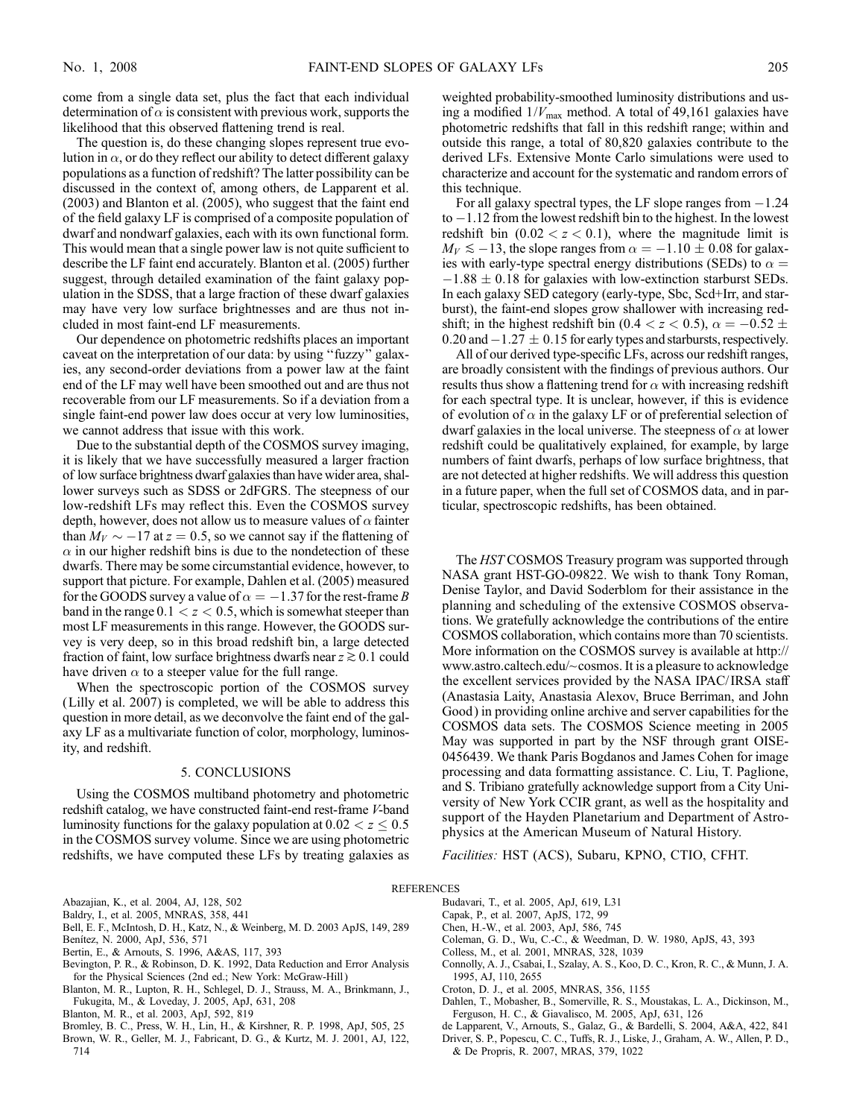come from a single data set, plus the fact that each individual determination of  $\alpha$  is consistent with previous work, supports the likelihood that this observed flattening trend is real.

The question is, do these changing slopes represent true evolution in  $\alpha$ , or do they reflect our ability to detect different galaxy populations as a function of redshift? The latter possibility can be discussed in the context of, among others, de Lapparent et al. (2003) and Blanton et al. (2005), who suggest that the faint end of the field galaxy LF is comprised of a composite population of dwarf and nondwarf galaxies, each with its own functional form. This would mean that a single power law is not quite sufficient to describe the LF faint end accurately. Blanton et al. (2005) further suggest, through detailed examination of the faint galaxy population in the SDSS, that a large fraction of these dwarf galaxies may have very low surface brightnesses and are thus not included in most faint-end LF measurements.

Our dependence on photometric redshifts places an important caveat on the interpretation of our data: by using ''fuzzy'' galaxies, any second-order deviations from a power law at the faint end of the LF may well have been smoothed out and are thus not recoverable from our LF measurements. So if a deviation from a single faint-end power law does occur at very low luminosities, we cannot address that issue with this work.

Due to the substantial depth of the COSMOS survey imaging, it is likely that we have successfully measured a larger fraction of low surface brightness dwarf galaxies than have wider area, shallower surveys such as SDSS or 2dFGRS. The steepness of our low-redshift LFs may reflect this. Even the COSMOS survey depth, however, does not allow us to measure values of  $\alpha$  fainter than  $M_V \sim -17$  at  $z = 0.5$ , so we cannot say if the flattening of  $\alpha$  in our higher redshift bins is due to the nondetection of these dwarfs. There may be some circumstantial evidence, however, to support that picture. For example, Dahlen et al. (2005) measured for the GOODS survey a value of  $\alpha = -1.37$  for the rest-frame B band in the range  $0.1 < z < 0.5$ , which is somewhat steeper than most LF measurements in this range. However, the GOODS survey is very deep, so in this broad redshift bin, a large detected fraction of faint, low surface brightness dwarfs near  $z \gtrsim 0.1$  could have driven  $\alpha$  to a steeper value for the full range.

When the spectroscopic portion of the COSMOS survey (Lilly et al. 2007) is completed, we will be able to address this question in more detail, as we deconvolve the faint end of the galaxy LF as a multivariate function of color, morphology, luminosity, and redshift.

## 5. CONCLUSIONS

Using the COSMOS multiband photometry and photometric redshift catalog, we have constructed faint-end rest-frame V-band luminosity functions for the galaxy population at  $0.02 < z \leq 0.5$ in the COSMOS survey volume. Since we are using photometric redshifts, we have computed these LFs by treating galaxies as weighted probability-smoothed luminosity distributions and using a modified  $1/V_{\text{max}}$  method. A total of 49,161 galaxies have photometric redshifts that fall in this redshift range; within and outside this range, a total of 80,820 galaxies contribute to the derived LFs. Extensive Monte Carlo simulations were used to characterize and account for the systematic and random errors of this technique.

For all galaxy spectral types, the LF slope ranges from  $-1.24$ to  $-1.12$  from the lowest redshift bin to the highest. In the lowest redshift bin  $(0.02 < z < 0.1)$ , where the magnitude limit is  $M_V \le -13$ , the slope ranges from  $\alpha = -1.10 \pm 0.08$  for galaxies with early-type spectral energy distributions (SEDs) to  $\alpha =$  $-1.88 \pm 0.18$  for galaxies with low-extinction starburst SEDs. In each galaxy SED category (early-type, Sbc, Scd+Irr, and starburst), the faint-end slopes grow shallower with increasing redshift; in the highest redshift bin (0.4  $\lt$  z  $\lt$  0.5),  $\alpha = -0.52 \pm$ 0.20 and  $-1.27 \pm 0.15$  for early types and starbursts, respectively.

All of our derived type-specific LFs, across our redshift ranges, are broadly consistent with the findings of previous authors. Our results thus show a flattening trend for  $\alpha$  with increasing redshift for each spectral type. It is unclear, however, if this is evidence of evolution of  $\alpha$  in the galaxy LF or of preferential selection of dwarf galaxies in the local universe. The steepness of  $\alpha$  at lower redshift could be qualitatively explained, for example, by large numbers of faint dwarfs, perhaps of low surface brightness, that are not detected at higher redshifts. We will address this question in a future paper, when the full set of COSMOS data, and in particular, spectroscopic redshifts, has been obtained.

The HST COSMOS Treasury program was supported through NASA grant HST-GO-09822. We wish to thank Tony Roman, Denise Taylor, and David Soderblom for their assistance in the planning and scheduling of the extensive COSMOS observations. We gratefully acknowledge the contributions of the entire COSMOS collaboration, which contains more than 70 scientists. More information on the COSMOS survey is available at http:// www.astro.caltech.edu/~cosmos. It is a pleasure to acknowledge the excellent services provided by the NASA IPAC/ IRSA staff (Anastasia Laity, Anastasia Alexov, Bruce Berriman, and John Good ) in providing online archive and server capabilities for the COSMOS data sets. The COSMOS Science meeting in 2005 May was supported in part by the NSF through grant OISE-0456439. We thank Paris Bogdanos and James Cohen for image processing and data formatting assistance. C. Liu, T. Paglione, and S. Tribiano gratefully acknowledge support from a City University of New York CCIR grant, as well as the hospitality and support of the Hayden Planetarium and Department of Astrophysics at the American Museum of Natural History.

Facilities: HST (ACS), Subaru, KPNO, CTIO, CFHT.

### REFERENCES

- Abazajian, K., et al. 2004, AJ, 128, 502 Baldry, I., et al. 2005, MNRAS, 358, 441
- Bell, E. F., McIntosh, D. H., Katz, N., & Weinberg, M. D. 2003 ApJS, 149, 289
- Benitez, N. 2000, ApJ, 536, 571
- Bertin, E., & Arnouts, S. 1996, A&AS, 117, 393
- Bevington, P. R., & Robinson, D. K. 1992, Data Reduction and Error Analysis for the Physical Sciences (2nd ed.; New York: McGraw-Hill )
- Blanton, M. R., Lupton, R. H., Schlegel, D. J., Strauss, M. A., Brinkmann, J., Fukugita, M., & Loveday, J. 2005, ApJ, 631, 208
- Blanton, M. R., et al. 2003, ApJ, 592, 819
- Bromley, B. C., Press, W. H., Lin, H., & Kirshner, R. P. 1998, ApJ, 505, 25
- Brown, W. R., Geller, M. J., Fabricant, D. G., & Kurtz, M. J. 2001, AJ, 122, 714
- Budavari, T., et al. 2005, ApJ, 619, L31
- Capak, P., et al. 2007, ApJS, 172, 99
- Chen, H.-W., et al. 2003, ApJ, 586, 745
- Coleman, G. D., Wu, C.-C., & Weedman, D. W. 1980, ApJS, 43, 393
- Colless, M., et al. 2001, MNRAS, 328, 1039
- Connolly, A. J., Csabai, I., Szalay, A. S., Koo, D. C., Kron, R. C., & Munn, J. A. 1995, AJ, 110, 2655
- Croton, D. J., et al. 2005, MNRAS, 356, 1155
- Dahlen, T., Mobasher, B., Somerville, R. S., Moustakas, L. A., Dickinson, M., Ferguson, H. C., & Giavalisco, M. 2005, ApJ, 631, 126
- de Lapparent, V., Arnouts, S., Galaz, G., & Bardelli, S. 2004, A&A, 422, 841
- Driver, S. P., Popescu, C. C., Tuffs, R. J., Liske, J., Graham, A. W., Allen, P. D., & De Propris, R. 2007, MRAS, 379, 1022